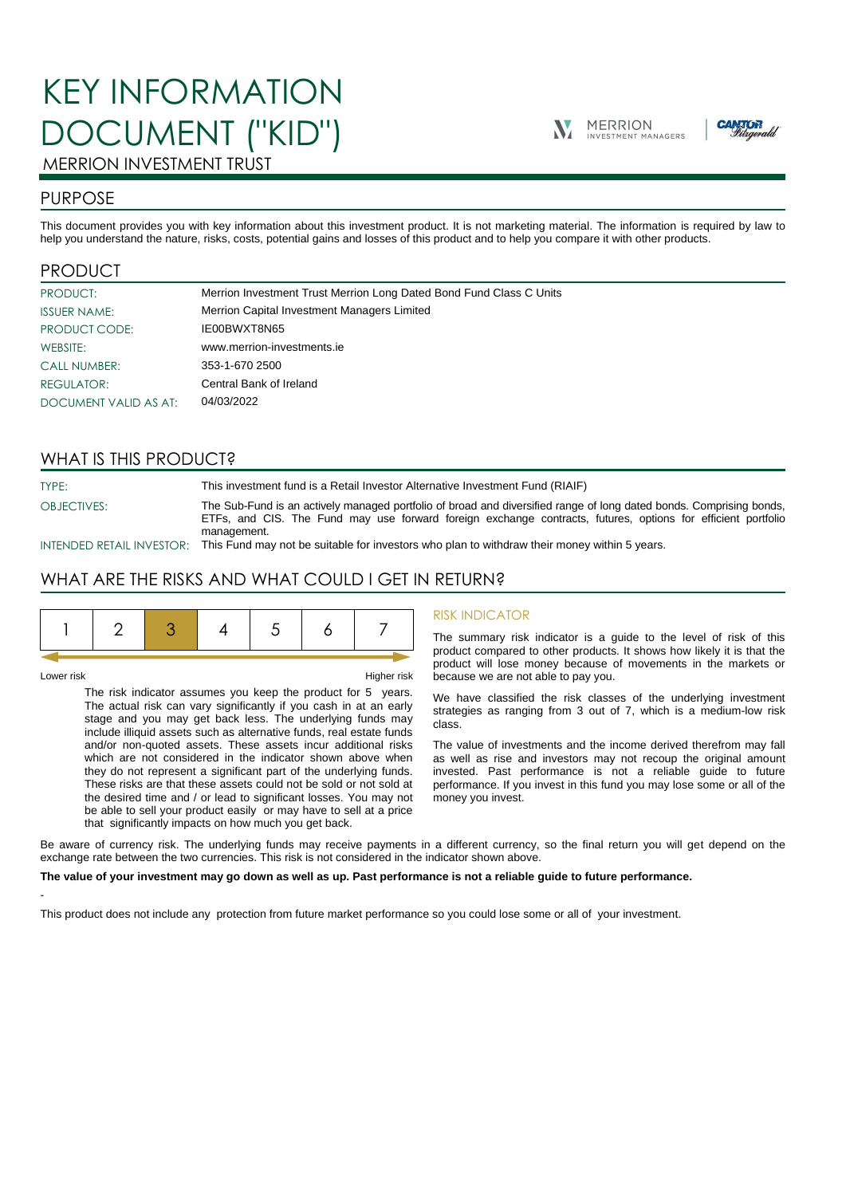# KEY INFORMATION DOCUMENT ("KID")





## MERRION INVESTMENT TRUST

## PURPOSE

This document provides you with key information about this investment product. It is not marketing material. The information is required by law to help you understand the nature, risks, costs, potential gains and losses of this product and to help you compare it with other products.

## PRODUCT

| PRODUCT:              | Merrion Investment Trust Merrion Long Dated Bond Fund Class C Units |
|-----------------------|---------------------------------------------------------------------|
| <b>ISSUER NAME:</b>   | Merrion Capital Investment Managers Limited                         |
| PRODUCT CODE:         | IE00BWXT8N65                                                        |
| WEBSITE:              | www.merrion-investments.ie                                          |
| <b>CALL NUMBER:</b>   | 353-1-670 2500                                                      |
| <b>REGULATOR:</b>     | Central Bank of Ireland                                             |
| DOCUMENT VALID AS AT: | 04/03/2022                                                          |

## WHAT IS THIS PRODUCT?

TYPE: This investment fund is a Retail Investor Alternative Investment Fund (RIAIF) OBJECTIVES: The Sub-Fund is an actively managed portfolio of broad and diversified range of long dated bonds. Comprising bonds, ETFs, and CIS. The Fund may use forward foreign exchange contracts, futures, options for efficient portfolio management.

INTENDED RETAIL INVESTOR: This Fund may not be suitable for investors who plan to withdraw their money within 5 years.

## WHAT ARE THE RISKS AND WHAT COULD I GET IN RETURN?

|--|--|--|--|--|--|--|--|

-

Lower risk Higher risk

The risk indicator assumes you keep the product for 5 years. The actual risk can vary significantly if you cash in at an early stage and you may get back less. The underlying funds may include illiquid assets such as alternative funds, real estate funds and/or non-quoted assets. These assets incur additional risks which are not considered in the indicator shown above when they do not represent a significant part of the underlying funds. These risks are that these assets could not be sold or not sold at the desired time and / or lead to significant losses. You may not be able to sell your product easily or may have to sell at a price that significantly impacts on how much you get back.

#### RISK INDICATOR

The summary risk indicator is a guide to the level of risk of this product compared to other products. It shows how likely it is that the product will lose money because of movements in the markets or because we are not able to pay you.

We have classified the risk classes of the underlying investment strategies as ranging from 3 out of 7, which is a medium-low risk class.

The value of investments and the income derived therefrom may fall as well as rise and investors may not recoup the original amount invested. Past performance is not a reliable guide to future performance. If you invest in this fund you may lose some or all of the money you invest.

Be aware of currency risk. The underlying funds may receive payments in a different currency, so the final return you will get depend on the exchange rate between the two currencies. This risk is not considered in the indicator shown above.

#### **The value of your investment may go down as well as up. Past performance is not a reliable guide to future performance.**

This product does not include any protection from future market performance so you could lose some or all of your investment.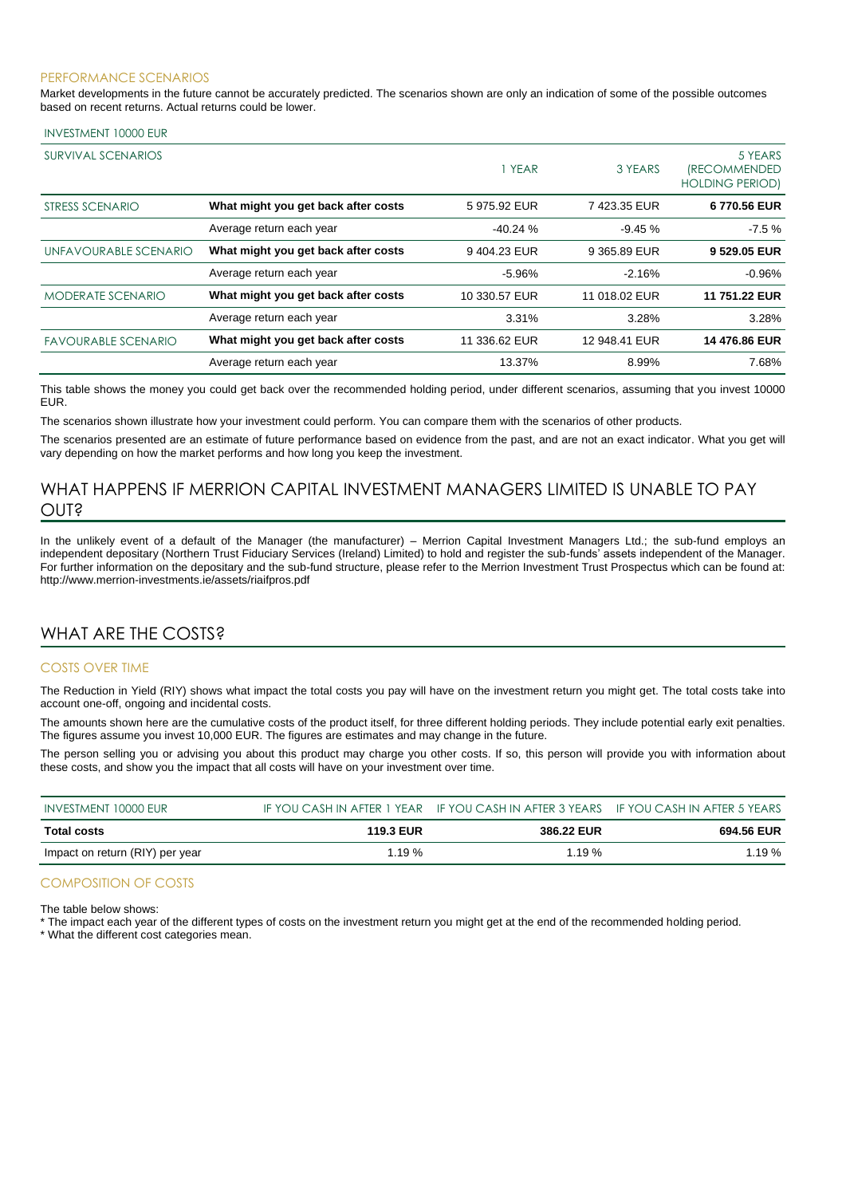#### PERFORMANCE SCENARIOS

Market developments in the future cannot be accurately predicted. The scenarios shown are only an indication of some of the possible outcomes based on recent returns. Actual returns could be lower.

#### INVESTMENT 10000 EUR

| SURVIVAL SCENARIOS         |                                     | 1 YEAR        | 3 YEARS       | 5 YEARS<br><i><b>(RECOMMENDED</b></i><br><b>HOLDING PERIOD)</b> |
|----------------------------|-------------------------------------|---------------|---------------|-----------------------------------------------------------------|
| STRESS SCENARIO            | What might you get back after costs | 5975.92 EUR   | 7423.35 EUR   | 6770.56 EUR                                                     |
|                            | Average return each year            | $-40.24%$     | $-9.45%$      | $-7.5%$                                                         |
| UNFAVOURABLE SCENARIO      | What might you get back after costs | 9404.23 EUR   | 9 365.89 EUR  | 9 529.05 EUR                                                    |
|                            | Average return each year            | $-5.96%$      | $-2.16%$      | $-0.96%$                                                        |
| <b>MODERATE SCENARIO</b>   | What might you get back after costs | 10 330.57 EUR | 11 018.02 EUR | 11 751.22 EUR                                                   |
|                            | Average return each year            | 3.31%         | 3.28%         | 3.28%                                                           |
| <b>FAVOURABLE SCENARIO</b> | What might you get back after costs | 11 336.62 EUR | 12 948.41 EUR | 14 476.86 EUR                                                   |
|                            | Average return each year            | 13.37%        | 8.99%         | 7.68%                                                           |

This table shows the money you could get back over the recommended holding period, under different scenarios, assuming that you invest 10000 EUR.

The scenarios shown illustrate how your investment could perform. You can compare them with the scenarios of other products.

The scenarios presented are an estimate of future performance based on evidence from the past, and are not an exact indicator. What you get will vary depending on how the market performs and how long you keep the investment.

## WHAT HAPPENS IF MERRION CAPITAL INVESTMENT MANAGERS LIMITED IS UNABLE TO PAY OUT?

In the unlikely event of a default of the Manager (the manufacturer) – Merrion Capital Investment Managers Ltd.; the sub-fund employs an independent depositary (Northern Trust Fiduciary Services (Ireland) Limited) to hold and register the sub-funds' assets independent of the Manager. For further information on the depositary and the sub-fund structure, please refer to the Merrion Investment Trust Prospectus which can be found at: http://www.merrion-investments.ie/assets/riaifpros.pdf

### WHAT ARE THE COSTS?

#### COSTS OVER TIME

The Reduction in Yield (RIY) shows what impact the total costs you pay will have on the investment return you might get. The total costs take into account one-off, ongoing and incidental costs.

The amounts shown here are the cumulative costs of the product itself, for three different holding periods. They include potential early exit penalties. The figures assume you invest 10,000 EUR. The figures are estimates and may change in the future.

The person selling you or advising you about this product may charge you other costs. If so, this person will provide you with information about these costs, and show you the impact that all costs will have on your investment over time.

| INVESTMENT 10000 EUR            |                  | IF YOU CASH IN AFTER 1 YEAR IF YOU CASH IN AFTER 3 YEARS IF YOU CASH IN AFTER 5 YEARS |            |
|---------------------------------|------------------|---------------------------------------------------------------------------------------|------------|
| Total costs                     | <b>119.3 EUR</b> | 386.22 EUR                                                                            | 694.56 EUR |
| Impact on return (RIY) per year | $1.19\%$         | 1.19%                                                                                 | $1.19\%$   |

#### COMPOSITION OF COSTS

The table below shows:

\* The impact each year of the different types of costs on the investment return you might get at the end of the recommended holding period.

\* What the different cost categories mean.